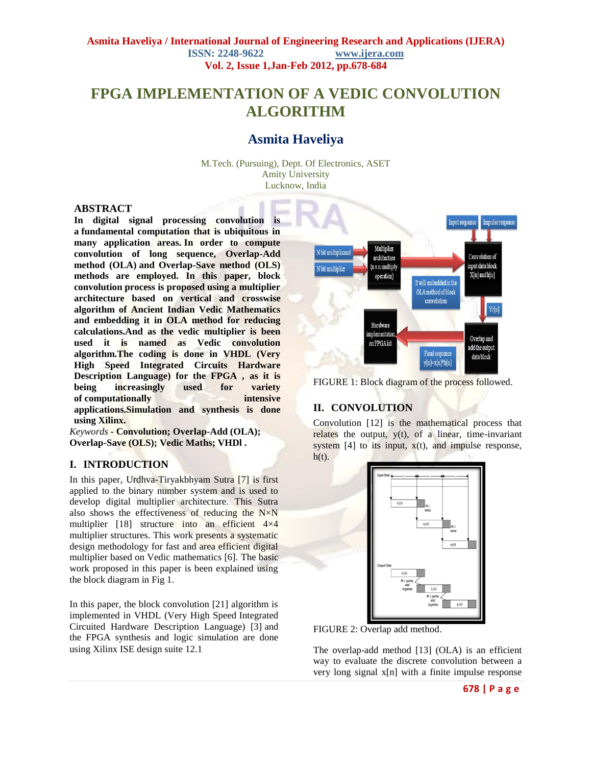# **FPGA IMPLEMENTATION OF A VEDIC CONVOLUTION ALGORITHM**

# **Asmita Haveliya**

M.Tech. (Pursuing), Dept. Of Electronics, ASET Amity University Lucknow, India

#### **ABSTRACT**

**In digital signal processing convolution is a fundamental computation that is ubiquitous in many application areas. In order to compute convolution of long sequence, Overlap-Add method (OLA) and Overlap-Save method (OLS) methods are employed. In this paper, block convolution process is proposed using a multiplier architecture based on vertical and crosswise algorithm of Ancient Indian Vedic Mathematics and embedding it in OLA method for reducing calculations.And as the vedic multiplier is been used it is named as Vedic convolution algorithm.The coding is done in VHDL (Very High Speed Integrated Circuits Hardware Description Language) for the FPGA , as it is being increasingly used for variety of computationally intensive applications.Simulation and synthesis is done using Xilinx.**

*Keywords* **- Convolution; Overlap-Add (OLA); Overlap-Save (OLS); Vedic Maths; VHDl .**

#### **I. INTRODUCTION**

In this paper, Urdhva-Tiryakbhyam Sutra [7] is first applied to the binary number system and is used to develop digital multiplier architecture. This Sutra also shows the effectiveness of reducing the  $N \times N$ multiplier [18] structure into an efficient 4×4 multiplier structures. This work presents a systematic design methodology for fast and area efficient digital multiplier based on Vedic mathematics [6]. The basic work proposed in this paper is been explained using the block diagram in Fig 1.

In this paper, the block convolution [21] algorithm is implemented in VHDL (Very High Speed Integrated Circuited Hardware Description Language) [3] and the FPGA synthesis and logic simulation are done using Xilinx ISE design suite 12.1



FIGURE 1: Block diagram of the process followed.

# **II. CONVOLUTION**

Convolution [12] is the mathematical process that relates the output,  $y(t)$ , of a linear, time-invariant system  $[4]$  to its input,  $x(t)$ , and impulse response,  $h(t)$ .



FIGURE 2: Overlap add method.

The overlap-add method [13] (OLA) is an efficient way to evaluate the discrete [convolution](http://en.wikipedia.org/wiki/Convolution) between a very long signal x[n] with a [finite impulse response](http://en.wikipedia.org/wiki/Finite_impulse_response)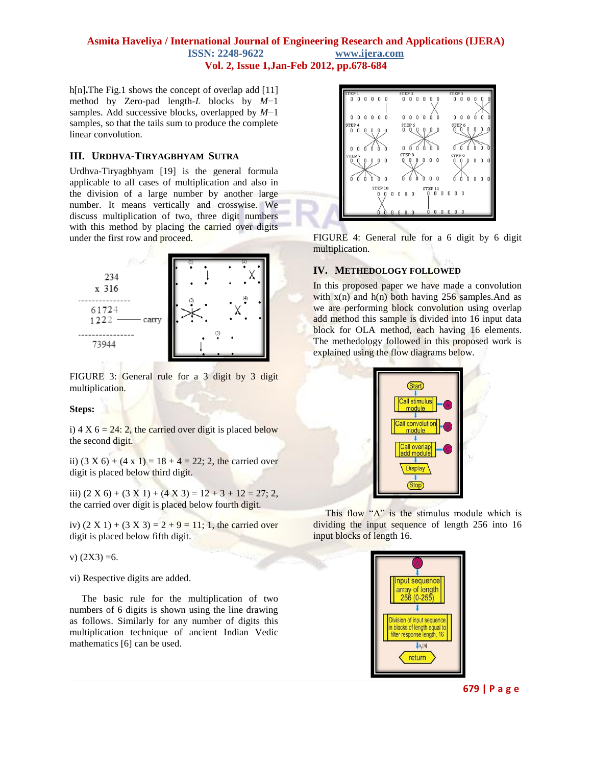h[n].The Fig.1 shows the concept of overlap add [11] method by Zero-pad length-*L* blocks by *M*−1 samples. Add successive blocks, overlapped by *M*−1 samples, so that the tails sum to produce the complete linear convolution.

#### **III. URDHVA-TIRYAGBHYAM SUTRA**

Urdhva-Tiryagbhyam [19] is the general formula applicable to all cases of multiplication and also in the division of a large number by another large number. It means vertically and crosswise. We discuss multiplication of two, three digit numbers with this method by placing the carried over digits under the first row and proceed.



FIGURE 3: General rule for a 3 digit by 3 digit multiplication.

#### **Steps:**

i)  $4 X 6 = 24: 2$ , the carried over digit is placed below the second digit.

ii)  $(3 X 6) + (4 X 1) = 18 + 4 = 22$ ; 2, the carried over digit is placed below third digit.

iii)  $(2 X 6) + (3 X 1) + (4 X 3) = 12 + 3 + 12 = 27$ ; 2, the carried over digit is placed below fourth digit.

iv)  $(2 X 1) + (3 X 3) = 2 + 9 = 11$ ; 1, the carried over digit is placed below fifth digit.

v)  $(2X3) = 6$ .

vi) Respective digits are added.

 The basic rule for the multiplication of two numbers of 6 digits is shown using the line drawing as follows. Similarly for any number of digits this multiplication technique of ancient Indian Vedic mathematics [6] can be used.



FIGURE 4: General rule for a 6 digit by 6 digit multiplication.

# **IV. METHEDOLOGY FOLLOWED**

In this proposed paper we have made a convolution with  $x(n)$  and  $h(n)$  both having 256 samples. And as we are performing block convolution using overlap add method this sample is divided into 16 input data block for OLA method, each having 16 elements. The methedology followed in this proposed work is explained using the flow diagrams below.



 This flow "A" is the stimulus module which is dividing the input sequence of length 256 into 16 input blocks of length 16.



**679 | P a g e**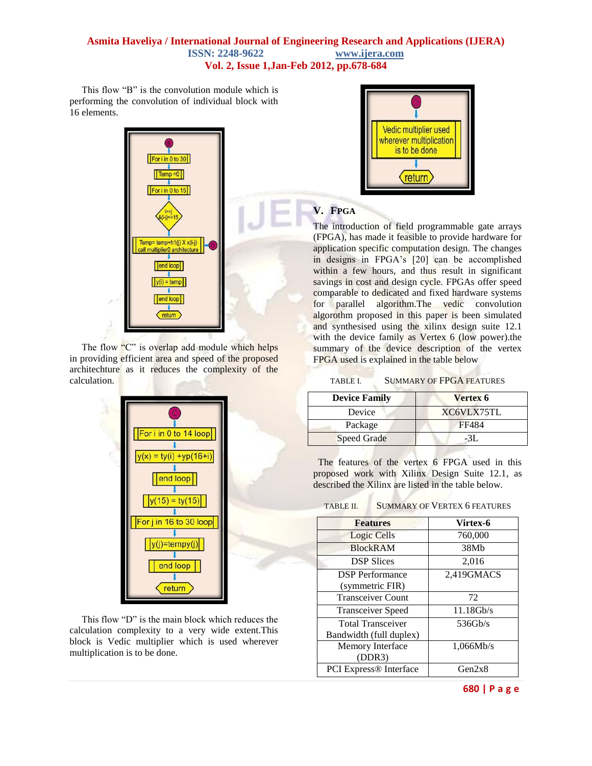This flow "B" is the convolution module which is performing the convolution of individual block with 16 elements.



The flow "C" is overlap add module which helps in providing efficient area and speed of the proposed architechture as it reduces the complexity of the calculation.



 This flow "D" is the main block which reduces the calculation complexity to a very wide extent.This block is Vedic multiplier which is used wherever multiplication is to be done.



# **V. FPGA**

The introduction of field programmable gate arrays (FPGA), has made it feasible to provide hardware for application specific computation design. The changes in designs in FPGA's [20] can be accomplished within a few hours, and thus result in significant savings in cost and design cycle. FPGAs offer speed comparable to dedicated and fixed hardware systems for parallel algorithm.The vedic convolution algorothm proposed in this paper is been simulated and synthesised using the xilinx design suite 12.1 with the device family as Vertex 6 (low power).the summary of the device description of the vertex FPGA used is explained in the table below

| TABLE I. | <b>SUMMARY OF FPGA FEATURES</b> |  |
|----------|---------------------------------|--|
|          |                                 |  |

 $\sim$   $\sim$ 

| Vertex <sub>6</sub> |
|---------------------|
| XC6VLX75TL          |
| FF484               |
| -31                 |
|                     |

 The features of the vertex 6 FPGA used in this proposed work with Xilinx Design Suite 12.1, as described the Xilinx are listed in the table below.

| TABLE II. | <b>SUMMARY OF VERTEX 6 FEATURES</b> |  |
|-----------|-------------------------------------|--|
|           |                                     |  |

 $\sim$ 

- 80

| <b>Features</b>                                     | Virtex-6   |
|-----------------------------------------------------|------------|
| Logic Cells                                         | 760,000    |
| <b>BlockRAM</b>                                     | 38Mb       |
| <b>DSP Slices</b>                                   | 2,016      |
| <b>DSP</b> Performance<br>(symmetric FIR)           | 2,419GMACS |
| <b>Transceiver Count</b>                            | 72         |
| <b>Transceiver Speed</b>                            | 11.18Gb/s  |
| <b>Total Transceiver</b><br>Bandwidth (full duplex) | 536Gh/s    |
| Memory Interface<br>(DDR3)                          | 1,066Mb/s  |
| PCI Express® Interface                              | Gen2x8     |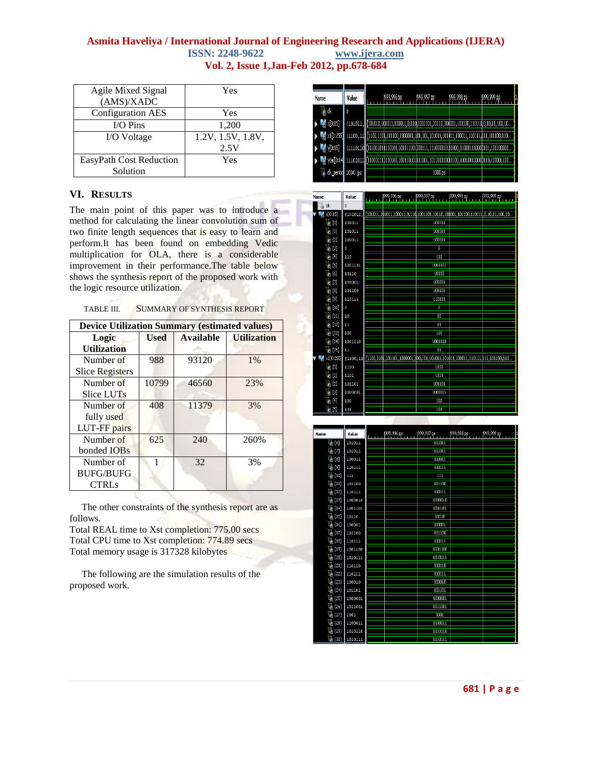| Agile Mixed Signal       | Yes               |
|--------------------------|-------------------|
| (AMS)/XADC               |                   |
| <b>Configuration AES</b> | Yes               |
| $VO Pins$                | 1,200             |
| I/O Voltage              | 1.2V, 1.5V, 1.8V, |
|                          | 2.5V              |
| EasyPath Cost Reduction  | Yes               |
| Solution                 |                   |

# **VI. RESULTS**

The main point of this paper was to introduce a method for calculating the linear convolution sum of two finite length sequences that is easy to learn and perform.It has been found on embedding Vedic multiplication for OLA, there is a considerable improvement in their performance.The table below shows the synthesis report of the proposed work with the logic resource utilization.

TABLE III. SUMMARY OF SYNTHESIS REPORT

| <b>Device Utilization Summary (estimated values)</b> |             |                  |                    |  |  |  |  |
|------------------------------------------------------|-------------|------------------|--------------------|--|--|--|--|
| Logic<br><b>Utilization</b>                          | <b>Used</b> | <b>Available</b> | <b>Utilization</b> |  |  |  |  |
| Number of<br><b>Slice Registers</b>                  | 988         | 93120            | $1\%$              |  |  |  |  |
| Number of<br>Slice LUTs                              | 10799       | 46560            | 23%                |  |  |  |  |
| Number of<br>fully used<br>LUT-FF pairs              | 408         | 11379            | 3%                 |  |  |  |  |
| Number of<br>bonded IOBs                             | 625         | 240              | 260%               |  |  |  |  |
| Number of<br><b>BUFG/BUFG</b><br><b>CTRLs</b>        | 1           | 32               | 3%                 |  |  |  |  |

 The other constraints of the synthesis report are as follows.

Total REAL time to Xst completion: 775.00 secs Total CPU time to Xst completion: 774.89 secs Total memory usage is 317328 kilobytes

 The following are the simulation results of the proposed work.

| Name                                                        | Value | 1999,996 ps | 1999, 997 ps | 1999, 998 ps                                                                                   | 1999,999 ps |
|-------------------------------------------------------------|-------|-------------|--------------|------------------------------------------------------------------------------------------------|-------------|
| 1∦ dk                                                       | 0     |             |              |                                                                                                |             |
| $\blacktriangleright$ $\blacktriangleright$ $\times$ [0.15] |       |             |              |                                                                                                |             |
| $\blacksquare$ x1[0:255]                                    |       |             |              |                                                                                                |             |
| $\blacktriangleright$ $\blacktriangleright$ $\sqrt{[0.15]}$ |       |             |              | (1110110 [11101101 110101,101111101 000111,1110000101 11001,11000111000 101,101100000          |             |
| $\sim$ ytail $[0:14]$                                       |       |             |              | $(1101011] [11010111] 110100, 100110101] 11001, 1011000100] 1101, 10010010000] 110, 100001100$ |             |
| <b>I</b> dk period 1000 ps                                  |       |             | 1000 ps      |                                                                                                |             |

| Name                        | Value    | 1999, 996 ps | $[999, 997 p_5, ,$      | 999,998 ps                                                                                              | 1999, 999 ps |
|-----------------------------|----------|--------------|-------------------------|---------------------------------------------------------------------------------------------------------|--------------|
| $\mathbb{R}$ dk             | 0        |              |                         |                                                                                                         |              |
| $6 \times 0.15$             |          |              |                         |                                                                                                         |              |
| $\mathbb{U}_0$ [0]          | 101011   |              | 101011                  |                                                                                                         |              |
| Ve [1]                      | 101011   |              | 101011                  |                                                                                                         |              |
| V) [2]                      | 100011   |              | 100011                  |                                                                                                         |              |
| T <mark>}</mark> [3]        | 0        |              | 0                       |                                                                                                         |              |
| પી [4]                      | 110      |              | 110                     |                                                                                                         |              |
| $\mathbb{U}_0$ [5]          | 1001101  |              | 1001101                 |                                                                                                         |              |
| $\frac{1}{16}$ [6]          | 10110    |              | 10110                   |                                                                                                         |              |
| Ve 171                      | 100001   |              | 100001                  |                                                                                                         |              |
| $\mathbb{U}_\alpha$ [8]     | 101100   |              | 101100                  |                                                                                                         |              |
| Ve 191                      | 110111   |              | 110111                  |                                                                                                         |              |
| U) [10]                     | $\bf{0}$ |              | O                       |                                                                                                         |              |
| U <sub>6</sub> [11]         | 10       |              | 10                      |                                                                                                         |              |
| $\mathbb{U}$ [12]           | 11       |              | $\overline{\mathbf{H}}$ |                                                                                                         |              |
| $\frac{1}{2}$ [13]          | 100      |              | 100                     |                                                                                                         |              |
| $\frac{1}{26}$ [14]         | 1001110  |              | 1001110                 |                                                                                                         |              |
| 10(15)                      | $11\,$   |              | п                       |                                                                                                         |              |
| $\frac{1}{6}$ x1[0:255]     |          |              |                         | $(1100, 11$ $(1100, 110)$ , $101101, 1000001, 100, 101, 101011, 101011, 100011, 110111, 111101100, 110$ |              |
| $\mathbb{U}_\mathbb{C}$ [0] | 1100     |              | 1100                    |                                                                                                         |              |
| Ve (1)                      | 1101     |              | 1101                    |                                                                                                         |              |
| V) [2]                      | 101101   |              | 101101                  |                                                                                                         |              |
| $\mathbb{U}_0$ [3]          | 1000001  |              | 1000001                 |                                                                                                         |              |
| પી [4]                      | 100      |              | 100                     |                                                                                                         |              |
| VC 151                      | 101      |              | 101                     |                                                                                                         |              |

| Name                          | Value   | 999,996 ps | 1999,997 pp | 1999,998 ps | 1999,999 pp |
|-------------------------------|---------|------------|-------------|-------------|-------------|
| $\mathbb{U}_0$ [6]            | 101011  |            | 101011      |             |             |
| Τ,<br>$[7]$                   | 101011  |            | 101011      |             |             |
| U,<br>$[8]$                   | 100011  |            | 100011      |             |             |
| પ <sub>રિ</sub> [9]           | 110111  |            | 110111      |             |             |
| $\mathbb{U}_c$ [10]           | 111     |            | 111         |             |             |
| $\mathbb{V}_0$ [11]           | 101100  |            | 101100      |             |             |
| U,<br>$[12]$                  | 110111  |            | 110111      |             |             |
| $\Pi_0$ [13]                  | 1000010 |            | 1000010     |             |             |
| $\mathbb{U}_0$ [14]           | 1001101 |            | 1001101     |             |             |
| $\mathbb{U}_\text{e}$ [15]    | 10110   |            | 10110       |             |             |
| $\mathbb{U}_0$ [16]           | 100001  |            | 100001      |             |             |
| V), [17]                      | 101100  |            | 101100      |             |             |
| $\mathbb{U}_0$ [18]           | 110111  |            | 110111      |             |             |
| $\mathbb{U}_\mathrm{e}$ [19]  | 1001100 |            | 1001100     |             |             |
| $\mathbf{I}_0$ [20]           | 1010111 |            | 1010111     |             |             |
| U,<br>$[21]$                  | 110110  |            | 110110      |             |             |
| U,<br>$[22]$                  | 110111  |            | 110111      |             |             |
| U,<br>$[23]$                  | 100010  |            | 100010      |             |             |
| $\mathbb{U}_0$ [24]           | 101101  |            | 101101      |             |             |
| Т,<br>$[25]$                  | 1000001 |            | 1000001     |             |             |
| $\mathbb{I}_\sigma$<br>$[26]$ | 1011001 |            | 1011001     |             |             |
| Т,<br>$[27]$                  | 1001    |            | 1001        |             |             |
| $\Pi_0$ [28]                  | 1100011 |            | 1100011     |             |             |
| $\mathbb{U}_\mathbb{H}$ [29]  | 1010110 |            | 1010110     |             |             |
| V), [30]                      | 1010111 |            | 1010111     |             |             |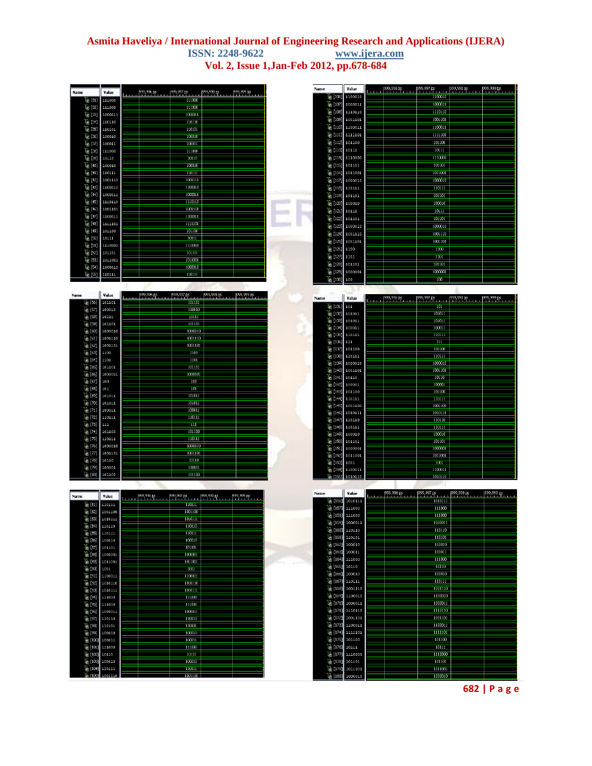L.

| Name                                                   | Value                         | $[999, 996 p_5, \ldots]$      | [999,997 ps.   999,998 ps. |                       | $[999, 999 \text{ ps}$ | Name                                                     | Value                                                         |          |                                   |                    |             |             |
|--------------------------------------------------------|-------------------------------|-------------------------------|----------------------------|-----------------------|------------------------|----------------------------------------------------------|---------------------------------------------------------------|----------|-----------------------------------|--------------------|-------------|-------------|
| Uk [31]                                                | 111000                        |                               | 111000                     |                       |                        |                                                          | <b>U<sub>C</sub></b> [106] 1100010<br><b>Le</b> [107] 1000011 |          |                                   | 1100010<br>1000011 |             |             |
| U), [32]                                               | 111000                        |                               | 111000                     |                       |                        |                                                          | Մշ (108]∥ 1110110                                             |          |                                   | 1110110            |             |             |
| U), [33]<br>U), [34]                                   | 1000011<br>110110             |                               | 1000011                    |                       |                        |                                                          | 1 <mark>6</mark> [109]∥ 1001101                               |          |                                   | 1001101            |             |             |
| U. [35]                                                | 110101                        |                               | 110110<br>110101           |                       |                        |                                                          | Ա [110] 1100011                                               |          |                                   | 1100011            |             |             |
| U), [36]                                               | 100010                        |                               | 100010                     |                       |                        |                                                          | Անով ռուս                                                     |          |                                   | 1111101            |             |             |
| U), [37]                                               | 100011                        |                               | 100011                     |                       |                        | U <sub>0</sub> [112] 101100                              |                                                               |          |                                   | 101100             |             |             |
| U), [38]                                               | 111000                        |                               | 111000                     |                       |                        | $\frac{1}{2}$ [113] 10111                                |                                                               |          |                                   | 10111              |             |             |
| U), [39]<br>U), [40]                                   | 10110<br>100010               |                               | 10110<br>100010            |                       |                        | 16 [115] 101101                                          | U <sub>0</sub> [114] 1110000                                  |          |                                   | 1110000<br>101101  |             |             |
| U) [41]                                                | 110111                        |                               | 110111                     |                       |                        |                                                          | <b>U<sub>0</sub></b> [116] 1011001                            |          |                                   | 1011001            |             |             |
| U), [42]                                               | 1001110                       |                               | 1001110                    |                       |                        |                                                          | $\frac{1}{2}$ [117] 1000010                                   |          |                                   | 1000010            |             |             |
| U), [43]                                               | 1100010                       |                               | 1100010                    |                       |                        |                                                          | <b>U<sub>6</sub> [118] 110111</b>                             |          |                                   | 110111             |             |             |
| U. [44]<br>U), [45]                                    | 1000011<br>1110110            |                               | 1000011<br>1110110         |                       |                        | U <sub>0</sub> [119] 101101                              |                                                               |          |                                   | 101101             |             |             |
| U <sub>6</sub> [46]                                    | 1001101                       |                               | 1001101                    |                       |                        | $\frac{1}{2}$ [120] 100010<br>U <sub>0</sub> [121] 10111 |                                                               |          |                                   | 100010<br>10111    |             |             |
| U), [47]                                               | 1100011                       |                               | 1100011                    |                       |                        | U <sub>6</sub> [122] 101101                              |                                                               |          |                                   | 101101             |             |             |
| U. [48]                                                | 1111101                       |                               | 1111101                    |                       |                        |                                                          | $\mathbb{I}_{6}$ [123] 1000010                                |          |                                   | 1000010            |             |             |
| U), [49]                                               | 101100<br>10111               |                               | 101100<br>10111            |                       |                        |                                                          | U <sub>0</sub> [124] 1001110                                  |          |                                   | 1001110            |             |             |
| U), [50]<br>U), [51]                                   | 1110000                       |                               | 1110000                    |                       |                        |                                                          | U <sub>0</sub> [125] 1001101                                  |          |                                   | 1001101            |             |             |
| U) [52]                                                | 101101                        |                               | 101101                     |                       |                        | $\frac{1}{2}$ [126] 1100                                 |                                                               |          |                                   | 1100               |             |             |
| U), [53]                                               | 1011001                       |                               | 1011001                    |                       |                        | Ա  [127] 1101<br>$\mathsf{II}$ [128]                     | 101101                                                        |          |                                   | 1101<br>101101     |             |             |
| $U_0$ [54]                                             | 1000010                       |                               | 1000010                    |                       |                        |                                                          | 1 <mark>}</mark> [129] 1000001                                |          |                                   | 1000001            |             |             |
| U), [55]                                               | 110111                        |                               | 110111                     |                       |                        | U <sub>6</sub> [130]                                     | 100                                                           |          |                                   | 100                |             |             |
|                                                        |                               |                               |                            |                       |                        |                                                          |                                                               |          |                                   |                    |             |             |
| Name                                                   | Value                         | 999,996 ps.                   | 1999,997 ps<br> -          | $1999,998 \text{ ps}$ | 1999,999 pp.           | Name                                                     | Value                                                         | $\cdots$ | 999,996 PF             999,997 PF |                    |             |             |
| UA [56]                                                | 101101                        |                               | 101101                     |                       |                        | Ա <sub>8</sub> [131]  101                                |                                                               |          |                                   | 101                |             |             |
| V) [57]<br>18 [56]                                     | 100010<br>10111               |                               | 100010<br>10111            |                       |                        | 16 [132] 101011                                          |                                                               |          |                                   | 101011             |             |             |
| $\mathbb{U}_6$ [39]                                    | 101101                        |                               | 101101                     |                       |                        | U <sub>0</sub> [133] 101011                              |                                                               |          |                                   | 101011             |             |             |
| U <sub>6</sub> [60]                                    | 1000010                       |                               | 1000010                    |                       |                        | U: [134]<br>կի [135]∥ 110111                             | 100011                                                        |          |                                   | 100011<br>110111   |             |             |
| $\mathsf{U}$ [61]                                      | 1001110                       |                               | 1001110                    |                       |                        | Ա [136] 111                                              |                                                               |          |                                   | Ē                  |             |             |
| $U_0$ [62]<br>18. [63]                                 | 1001101<br>1100               |                               | 1001101<br>1100            |                       |                        | U <sub>8</sub> [137] 101100                              |                                                               |          |                                   | 101100             |             |             |
| $\mathbb{U}_0$ [64]                                    | 1101                          |                               | 1101                       |                       |                        | $\mathbb{L}_5$ [138]                                     | 110111                                                        |          |                                   | 110111             |             |             |
| $U_6$ [65]                                             | 101101                        |                               | 101101                     |                       |                        | U <sub>0</sub> [139]                                     | 1000010<br>16 [140] 1001101                                   |          |                                   | 1000010<br>1001101 |             |             |
| W. [66]                                                | 1000001                       |                               | 1000001                    |                       |                        | $\mathbb{U}_0$ [141]                                     | 10110                                                         |          |                                   | 10110              |             |             |
| U), [67]                                               | 100<br>101                    |                               | 100                        |                       |                        | $\frac{1}{2}$ [142] 100001                               |                                                               |          |                                   | 100001             |             |             |
| 18 [68]<br>V), [69]                                    | 101011                        |                               | 101<br>101011              |                       |                        | U. [143]                                                 | 101100                                                        |          |                                   | 101100             |             |             |
| $\mathbb{U}_\mathrm{G}$ [70]                           | 101011                        |                               | 101011                     |                       |                        | Ա [144] 110111                                           | 16 [145] 1001100                                              |          |                                   | 110111<br>1001100  |             |             |
| U) [71]                                                | 100011                        |                               | 100011                     |                       |                        |                                                          | կի [146]∥ 1010111                                             |          |                                   | 1010111            |             |             |
| $\mathbb{U}_6$ [72] $\mid$                             | 110111                        |                               | 110111                     |                       |                        | $\mathsf{U}_2$ [147]                                     | 110110                                                        |          |                                   | 110110             |             |             |
| U. [73]<br>U. [74]                                     | 111<br>101100                 |                               | 111<br>101100              |                       |                        | U <sub>0</sub> [148]                                     | 110111                                                        |          |                                   | 110111             |             |             |
| $L_{0}$ [75]                                           | 110111                        |                               | 110111                     |                       |                        | U <sub>0</sub> [149] 100010<br>V, [150]                  | 101101                                                        |          |                                   | 100010<br>101101   |             |             |
| $L_6$ [76]                                             | 1000010                       |                               | 1000010                    |                       |                        |                                                          | <b>U<sub>0</sub> [151]</b> 1000001                            |          |                                   | 1000001            |             |             |
| U <sub>6</sub> [77]                                    | 1001101                       |                               | 1001101                    |                       |                        | U. [152]                                                 | 1011001                                                       |          |                                   | 1011001            |             |             |
| $U_6$ [78]<br>$U_0$ [79]                               | 10110<br>100001               |                               | 10110<br>100001            |                       |                        | Աի [153]  1001                                           |                                                               |          |                                   | 1001               |             |             |
| $\mathbb{U}_0$ [80]                                    | 101100                        |                               | 101100                     |                       |                        | U), [155]                                                | Ա [154] 1100011<br>1010110                                    |          |                                   | 1100011<br>1010110 |             |             |
|                                                        |                               |                               |                            |                       |                        |                                                          |                                                               |          |                                   |                    |             |             |
|                                                        |                               |                               |                            |                       |                        | Name                                                     | Value                                                         |          | 1999,996 ps                       | 1999, 997 ps       | 1999,998 pp | 1999,999 ps |
| Name<br>$\frac{1}{2}$ [81] 110111                      | Value                         | <sup>1999,996</sup> P۶ , ա. ա | 110111                     |                       | 1999, 999 ps           |                                                          | U <sub>0</sub> [156] 1010111                                  |          |                                   | 1010111            |             |             |
| 6 [82] 1001100                                         |                               |                               | 1001100                    |                       |                        |                                                          | U) [157] 111000                                               |          |                                   | 111000             |             |             |
|                                                        | $\mathbb{U}_{0}$ [83] 1010111 |                               | 1010111                    |                       |                        | U <sub>C</sub> [158] 111000                              |                                                               |          |                                   | 111000<br>1000011  |             |             |
| U <sub>8</sub> [84]   110110                           |                               |                               | 110110                     |                       |                        |                                                          | <b>b</b> [159] 1000011<br>Աց[160]  110110                     |          |                                   | 110110             |             |             |
| $U_{\rm e}$ [85]<br>U) [86]                            | 110111<br>100010              |                               | 110111<br>100010           |                       |                        |                                                          | Ա [161] 110101                                                |          |                                   | 110101             |             |             |
| $\mathsf{U}_\odot$ [87]                                | 101101                        |                               | 101101                     |                       |                        |                                                          | U <sub>C</sub> [162] 100010                                   |          |                                   | 100010             |             |             |
| $\mathsf{U}_3$ [88] $\mid$                             | 1000001                       |                               | 1000001                    |                       |                        |                                                          | U <sub>0</sub> [163] 100011<br>L <sub>e</sub> [164] 111000    |          |                                   | 100011             |             |             |
| U <sub>0</sub> [89]                                    | 1011001                       |                               | 1011001                    |                       |                        | U <sub>0</sub> [165] 10110                               |                                                               |          |                                   | 111000<br>10110    |             |             |
| $\mathbb{U}_{\scriptscriptstyle\odot}$ [90]<br>U) [91] | 1001<br>1100011               |                               | 1001<br>1100011            |                       |                        |                                                          | $\mathbb{U}_{6}$ [166] 100010                                 |          |                                   | 100010             |             |             |
| U <sub>0.</sub> [92]                                   | 1010110                       |                               | 1010110                    |                       |                        |                                                          | U <sub>0</sub> [167] 110111                                   |          |                                   | 110111             |             |             |
| U <sub>0.</sub> [93]                                   | 1010111                       |                               | 1010111                    |                       |                        |                                                          | U <sub>C</sub> [168] 1001110                                  |          |                                   | 1001110            |             |             |
| $\mathbb{U}_0$ [94]                                    | 111000                        |                               | 111000                     |                       |                        |                                                          | U <sub>C</sub> [169] 1100010<br>U <sub>0</sub> [170] 1000011  |          |                                   | 1100010<br>1000011 |             |             |
| U) [95]  <br>U <sub>0.</sub> [96]                      | 111000<br>1000011             |                               | 111000<br>1000011          |                       |                        |                                                          | U <sub>0</sub> [171] 1110110                                  |          |                                   | 1110110            |             |             |
| U <sub>o</sub> [97]                                    | 110110                        |                               | 110110                     |                       |                        |                                                          | U <sub>0</sub> [172] 1001101                                  |          |                                   | 1001101            |             |             |
| $\mathbb{U}_0$ [98]                                    | 110101                        |                               | 110101                     |                       |                        |                                                          | Ue [173] 1100011                                              |          |                                   | 1100011            |             |             |
| U <sub>6</sub> [99]                                    | 100010                        |                               | 100010                     |                       |                        |                                                          | Ա  174]  1111101                                              |          |                                   | 1111101            |             |             |
| $\mathbb{U}_0$ [100]<br>$\mathbb{I}_6$ [101]           | 100011<br>111000              |                               | 100011<br>111000           |                       |                        | Մի [176]∥ 10111                                          | U <sub>0</sub> [175] 101100                                   |          |                                   | 101100<br>10111    |             |             |
| $\mathbb{U}_0$ [102]                                   | 10110                         |                               | 10110                      |                       |                        |                                                          | Le [177] 1110000                                              |          |                                   | 1110000            |             |             |
| $\mathbb{U}_0$ [103]                                   | 100010                        |                               | 100010                     |                       |                        |                                                          | U <sub>6</sub> [178] 101101                                   |          |                                   | 101101             |             |             |
| <b>b</b> [104] 110111                                  |                               |                               | 110111                     |                       |                        |                                                          | Ue [179] 1011001                                              |          |                                   | 1011001            |             |             |
| $U_0$ [105]                                            | 1001110                       |                               | 1001110                    |                       |                        |                                                          | U <sub>C</sub> [180] 1000010                                  |          |                                   | 1000010            |             |             |

**682 | P a g e**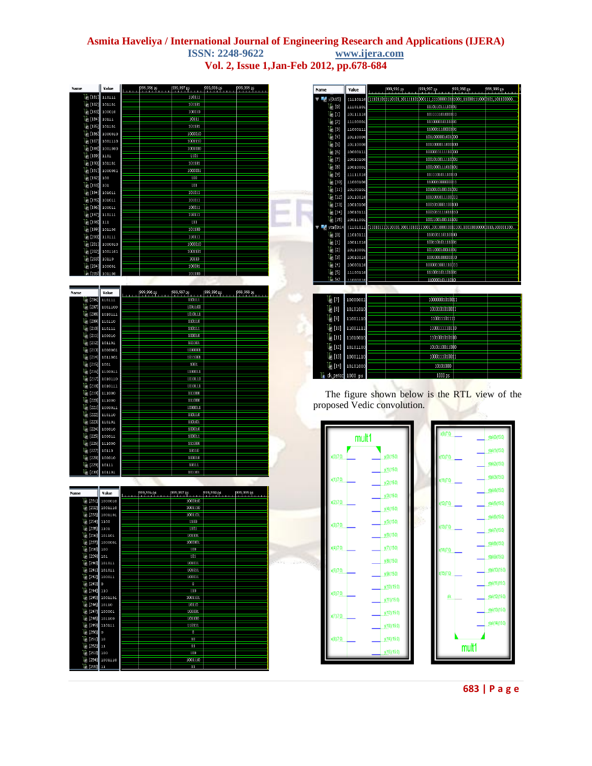**STAR** 

| Name                 | Value           | 1999, 996 pp<br>Li Li | 1999, 997 pp | 1999,998 pp | 1999,999 pp |
|----------------------|-----------------|-----------------------|--------------|-------------|-------------|
| 16<br>$[181]$        | 110111          |                       | 110111       |             |             |
|                      | Ա  82]  101101  |                       | 101101       |             |             |
| 17                   | $[183]$ 100010  |                       | 100010       |             |             |
| I,                   | $[184]$ 10111   |                       | 10111        |             |             |
| U,<br>[185]          | 101101          |                       | 101101       |             |             |
| $\mathbb{U}_0$ [186] | 1000010         |                       | 1000010      |             |             |
| լը                   | $[187]$ 1001110 |                       | 1001110      |             |             |
| U,                   | $[188]$ 1001000 |                       | 1001000      |             |             |
| 17,                  | $[189]$ 1101    |                       | 100          |             |             |
| 12                   | [190] 101101    |                       | 101101       |             |             |
| I,                   | [191] 1000001   |                       | 1000001      |             |             |
| 17,<br>$[192]$ 100   |                 |                       | 100          |             |             |
| 17<br>[193] 101      |                 |                       | 101          |             |             |
| 16                   | [194] 101011    |                       | 101011       |             |             |
| 17                   | $[195]$ 101011  |                       | 101011       |             |             |
| 17                   | [196] 100011    |                       | 100000       |             |             |
| ı,                   | [197] 110111    |                       | 110111       |             |             |
| U,<br>$[198]$ 111    |                 |                       | 111          |             |             |
| I,<br>[199]          | 101100          |                       | 101100       |             |             |
|                      | [200] 110111    |                       | 110111       |             |             |
|                      | $[201]$ 1000010 |                       | 1000010      |             |             |
| [202]                | 1001101         |                       | 1001101      |             |             |
| [203]                | 10110           |                       | 10110        |             |             |
|                      | [204] 100001    |                       | 100001       |             |             |
| I.<br>12051          | 101100          |                       | 101100       |             |             |
|                      |                 |                       |              |             |             |

| Name                        | Value                          | 1999,996 ps | 1999, 997 p.s | 1999,998 ps | 1999,999 ps |
|-----------------------------|--------------------------------|-------------|---------------|-------------|-------------|
| $U_6$ [206]                 | 110111                         |             | 110111        |             |             |
| $U_0$ [207]                 | 1001100                        |             | 1001100       |             |             |
| U.                          | $[208]$ 1010111                |             | 1010111       |             |             |
| U.                          | $[209]$ 110110                 |             | 110110        |             |             |
| U.                          | $[210]$ 110111                 |             | 110111        |             |             |
|                             | $\frac{1}{2}$ [211] 100010     |             | 100010        |             |             |
| U,                          | $[212]$ 101101                 |             | 101101        |             |             |
|                             | $\mathbb{U}_{0}$ [213] 1000001 |             | 1000001       |             |             |
| U.                          | $[214]$ 1011001                |             | 1011001       |             |             |
| U <sub>8</sub> [215] 1001   |                                |             | 1001          |             |             |
| U,                          | $[216]$ 1100011                |             | 1100011       |             |             |
| U.                          | $[217]$ 1010110                |             | 1010110       |             |             |
| U.                          | $[218]$ 1010111                |             | 1010111       |             |             |
| Т.                          | $[219]$ 111000                 |             | 111000        |             |             |
| IJ,                         | $[220]$ 111000                 |             | 111000        |             |             |
| U,                          | $[221]$ 1000011                |             | 1000011       |             |             |
| U.                          | $[222]$ 110110                 |             | 110110        |             |             |
| U,                          | [223] 110101                   |             | 110101        |             |             |
| Т.                          | $[224]$ 100010                 |             | 100010        |             |             |
| lle                         | [225] 100011                   |             | 100011        |             |             |
| U.                          | $[226]$ 111000                 |             | 111000        |             |             |
| U,<br>$[227]$               | 10110                          |             | 10110         |             |             |
| Т.<br>[228]                 | 100010                         |             | 100010        |             |             |
| II.                         | $[229]$ 10111                  |             | 10111         |             |             |
| U <sub>0</sub> [230] 101101 |                                |             | 101101        |             |             |

| Name             | Value          | <b>Louise</b> | 1999, 996 pp | 999,997 ps     | 1999,998 pp | 1999, 999 ps |
|------------------|----------------|---------------|--------------|----------------|-------------|--------------|
| U,<br>$[231]$    | 1000010        |               |              | 1000010        |             |              |
| U.<br>$[232]$    | 1001110        |               |              | 1001110        |             |              |
| U.<br>[233]      | 1001101        |               |              | 1001101        |             |              |
| U,<br>[234]      | 1100           |               |              | 1100           |             |              |
| U,<br>[235]      | 1101           |               |              | 1101           |             |              |
| Цe<br>[236]      | 101101         |               |              | 101101         |             |              |
| Цe<br>[237]      | 1000001        |               |              | 1000001        |             |              |
| U,<br>[238]      | 100            |               |              | 100            |             |              |
| U.<br>[239]      | 101            |               |              | 101            |             |              |
| Цa<br>[240]      | 101011         |               |              | 101011         |             |              |
| U,<br>$[241]$    | 101011         |               |              | 101011         |             |              |
| Цa               | [242] 100011   |               |              | 100011         |             |              |
| I.<br>[243]      | $\circ$        |               |              | $\overline{0}$ |             |              |
| I.<br>[244] 110  |                |               |              | 110            |             |              |
| U.<br>$[245]$    | 1001101        |               |              | 1001101        |             |              |
| U.<br>[246]      | 10110          |               |              | 10110          |             |              |
| Т.<br>$[247]$    | 100001         |               |              | 100001         |             |              |
| τ,<br>[248]      | 101100         |               |              | 101100         |             |              |
| ц,               | $[249]$ 110111 |               |              | 110111         |             |              |
| τ,<br>$[250]$    | $\circ$        |               |              | $\overline{0}$ |             |              |
| τ,<br>$[251]$    | 10             |               |              | 10             |             |              |
| [252]            | 11             |               |              | 11             |             |              |
| [253]            | 100            |               |              | 100            |             |              |
| [254]            | 1001110        |               |              | 1001110        |             |              |
| Т.<br>$[255]$ 11 |                |               |              | 11             |             |              |

**Service** 

| Name                          | Value                | 1999, 996 ps | 1999,997 ps                                                                 | 999,998 ps | 999,999 ps |  |
|-------------------------------|----------------------|--------------|-----------------------------------------------------------------------------|------------|------------|--|
| $\frac{1}{2}$ y[0:15]         | 11110110             |              | [11101101 110101.101111101000111.1110000101 1001.110001110000101.101100000. |            |            |  |
| 11, tot                       | 11101101             |              | 111011011110101                                                             |            |            |  |
| 11 [1]                        | 10111110             |              | 101111101000111                                                             |            |            |  |
| $U_0$ [2]                     | 11100001             |              | 111000010111001                                                             |            |            |  |
| U <sub>8</sub> [3]            | 11000111             |              | 110001110000101                                                             |            |            |  |
| $\mathbf{I}_{\alpha}$ [4]     | 10110000             |              | 1011000001001000                                                            |            |            |  |
| $\mathbf{I}_c$ [5]            | 10110000             |              | 1011000011000100                                                            |            |            |  |
| $U_{c}$ [6]                   | 10000111             |              | 1000011111110000                                                            |            |            |  |
| 17, [7]                       | 10010100             |              | 1001010011110001                                                            |            |            |  |
| $\mathbf{U}_3$ [3]            | 10010001             |              | 1001000111010101                                                            |            |            |  |
| Uk [9]                        | 11111010             |              | 111110101110110                                                             |            |            |  |
| $U_6$ [10]                    | 11000100             |              | 110001000000011                                                             |            |            |  |
| $U_2$ [11]                    | 10100101             |              | 1010010100101001                                                            |            |            |  |
| $U_{\rm e}$ [12]              | 10110010             |              | 1011001011100011                                                            |            |            |  |
| U) [13]                       | 10010100             |              | 1001010001100000                                                            |            |            |  |
| $U_6$ [14]                    | 10010111             |              | 1001011111011110                                                            |            |            |  |
| V) [15]                       | 10011001             |              | 100110010011101                                                             |            |            |  |
| $\sim$ ytail <sup>0:14</sup>  |                      |              |                                                                             |            |            |  |
| 11. tot                       | 11010111             |              | 110101110110100                                                             |            |            |  |
| 11), [1]                      | 10011010             |              | 100110101111001                                                             |            |            |  |
| 11. [2]<br>U <sub>8</sub> [3] | 10110001             |              | 101100010011101                                                             |            |            |  |
| Ա [4]                         | 10010010             |              | 100100100000110<br>1000011001110011                                         |            |            |  |
| $V_{\alpha}$ [5]              | 10000110             |              | 111001101101001                                                             |            |            |  |
| הז ב11                        | 11100110<br>11000010 |              | 11000010111010                                                              |            |            |  |
|                               |                      |              |                                                                             |            |            |  |
|                               |                      |              |                                                                             |            |            |  |
| 16<br>$[7]$                   | 10000001             |              | 10000001010011                                                              |            |            |  |
| 16<br>$[8]$                   | 10101010             |              | 1010101010011                                                               |            |            |  |
| Ua (9)                        | 11001110             |              | 110011101111                                                                |            |            |  |
| Ι,<br>$[10]$                  | 11001111             |              | 1100111110110                                                               |            |            |  |
| IJ,<br>$[11]$                 | 11010010             |              | 1101001010100                                                               |            |            |  |
| $\mathbf{U}_\mathrm{B}$ [12]  | 10101100             |              | 1010110011000                                                               |            |            |  |
| U) [13]                       | 10001110             |              | 1000111010011                                                               |            |            |  |
| U. [14]                       | 10101000             |              | 10101000                                                                    |            |            |  |
| <b>L</b> ck period 1000 ps    |                      |              | 1000 ps                                                                     |            |            |  |
|                               |                      |              |                                                                             |            |            |  |

 The figure shown below is the RTL view of the proposed Vedic convolution.